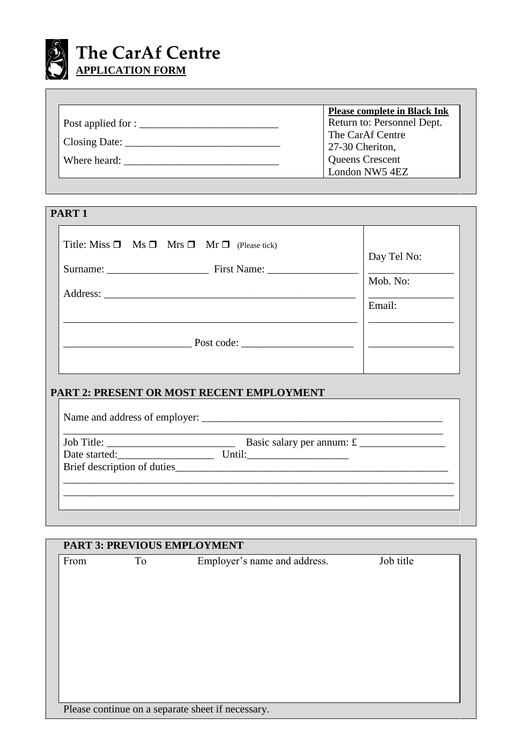

|                                                                       | <b>Please complete in Black Ink</b> |
|-----------------------------------------------------------------------|-------------------------------------|
| Post applied for : $\frac{1}{\sqrt{1-\frac{1}{2}} \cdot \frac{1}{2}}$ | Return to: Personnel Dept.          |
|                                                                       | The CarAf Centre                    |
| Closing Date:                                                         | 27-30 Cheriton,                     |
| Where heard:                                                          | <b>Queens Crescent</b>              |
|                                                                       | London NW5 4EZ                      |

| PART <sub>1</sub>                                               |                                   |
|-----------------------------------------------------------------|-----------------------------------|
| Title: Miss $\Box$ Ms $\Box$ Mrs $\Box$ Mr $\Box$ (Please tick) | Day Tel No:<br>Mob. No:<br>Email: |
| $\equiv$ Post code: $\equiv$                                    |                                   |

### **PART 2: PRESENT OR MOST RECENT EMPLOYMENT**

| Basic salary per annum: $\mathfrak{L}$ |
|----------------------------------------|
|                                        |
| Brief description of duties            |
|                                        |

| <b>PART 3: PREVIOUS EMPLOYMENT</b> |    |                                                   |           |
|------------------------------------|----|---------------------------------------------------|-----------|
| From                               | To | Employer's name and address.                      | Job title |
|                                    |    |                                                   |           |
|                                    |    |                                                   |           |
|                                    |    |                                                   |           |
|                                    |    |                                                   |           |
|                                    |    |                                                   |           |
|                                    |    |                                                   |           |
|                                    |    |                                                   |           |
|                                    |    |                                                   |           |
|                                    |    |                                                   |           |
|                                    |    |                                                   |           |
|                                    |    |                                                   |           |
|                                    |    | Please continue on a separate sheet if necessary. |           |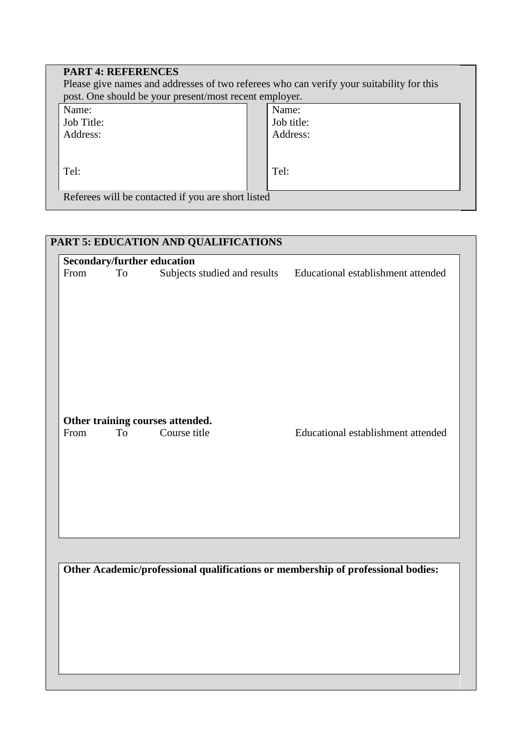| <b>PART 4: REFERENCES</b><br>post. One should be your present/most recent employer. | Please give names and addresses of two referees who can verify your suitability for this |
|-------------------------------------------------------------------------------------|------------------------------------------------------------------------------------------|
| Name:                                                                               | Name:                                                                                    |
| Job Title:                                                                          | Job title:                                                                               |
| Address:                                                                            | Address:                                                                                 |
| Tel:                                                                                | Tel:                                                                                     |
| Referees will be contacted if you are short listed                                  |                                                                                          |

# **PART 5: EDUCATION AND QUALIFICATIONS**

|      |    | <b>Secondary/further education</b> |                                                                 |
|------|----|------------------------------------|-----------------------------------------------------------------|
| From | To |                                    | Subjects studied and results Educational establishment attended |
|      |    |                                    |                                                                 |
|      |    |                                    |                                                                 |
|      |    |                                    |                                                                 |
|      |    |                                    |                                                                 |
|      |    |                                    |                                                                 |
|      |    |                                    |                                                                 |
|      |    |                                    |                                                                 |
|      |    |                                    |                                                                 |
|      |    |                                    |                                                                 |
|      |    |                                    |                                                                 |
|      |    | Other training courses attended.   |                                                                 |
| From | To | Course title                       | Educational establishment attended                              |
|      |    |                                    |                                                                 |
|      |    |                                    |                                                                 |
|      |    |                                    |                                                                 |
|      |    |                                    |                                                                 |
|      |    |                                    |                                                                 |
|      |    |                                    |                                                                 |
|      |    |                                    |                                                                 |
|      |    |                                    |                                                                 |
|      |    |                                    |                                                                 |
|      |    |                                    |                                                                 |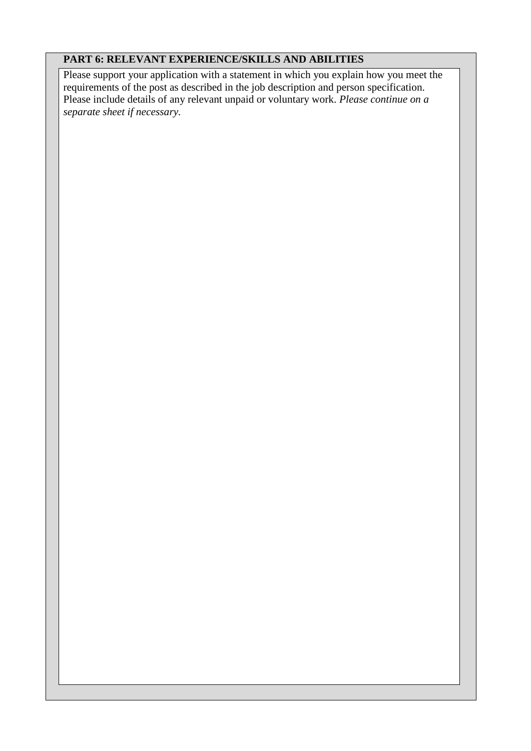#### **PART 6: RELEVANT EXPERIENCE/SKILLS AND ABILITIES**

Please support your application with a statement in which you explain how you meet the requirements of the post as described in the job description and person specification. Please include details of any relevant unpaid or voluntary work. *Please continue on a separate sheet if necessary.*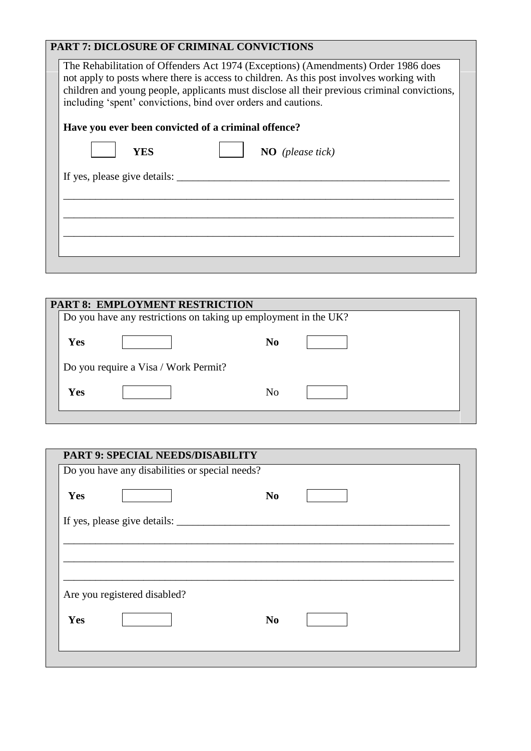## **PART 7: DICLOSURE OF CRIMINAL CONVICTIONS**

| The Rehabilitation of Offenders Act 1974 (Exceptions) (Amendments) Order 1986 does<br>not apply to posts where there is access to children. As this post involves working with<br>children and young people, applicants must disclose all their previous criminal convictions,<br>including 'spent' convictions, bind over orders and cautions. |
|-------------------------------------------------------------------------------------------------------------------------------------------------------------------------------------------------------------------------------------------------------------------------------------------------------------------------------------------------|
| Have you ever been convicted of a criminal offence?                                                                                                                                                                                                                                                                                             |
| YES<br>$NO$ (please tick)                                                                                                                                                                                                                                                                                                                       |
| If yes, please give details:                                                                                                                                                                                                                                                                                                                    |
|                                                                                                                                                                                                                                                                                                                                                 |
|                                                                                                                                                                                                                                                                                                                                                 |
|                                                                                                                                                                                                                                                                                                                                                 |
|                                                                                                                                                                                                                                                                                                                                                 |

|     | <b>PART 8: EMPLOYMENT RESTRICTION</b> |                                                                 |  |
|-----|---------------------------------------|-----------------------------------------------------------------|--|
|     |                                       | Do you have any restrictions on taking up employment in the UK? |  |
|     |                                       |                                                                 |  |
| Yes |                                       | N <sub>0</sub>                                                  |  |
|     |                                       |                                                                 |  |
|     | Do you require a Visa / Work Permit?  |                                                                 |  |
|     |                                       |                                                                 |  |
| Yes |                                       | N <sub>0</sub>                                                  |  |
|     |                                       |                                                                 |  |
|     |                                       |                                                                 |  |

|     | <b>PART 9: SPECIAL NEEDS/DISABILITY</b>        |                |  |
|-----|------------------------------------------------|----------------|--|
|     | Do you have any disabilities or special needs? |                |  |
| Yes |                                                | N <sub>0</sub> |  |
|     |                                                |                |  |
|     |                                                |                |  |
|     |                                                |                |  |
|     |                                                |                |  |
|     |                                                |                |  |
|     | Are you registered disabled?                   |                |  |
| Yes |                                                | N <sub>0</sub> |  |
|     |                                                |                |  |
|     |                                                |                |  |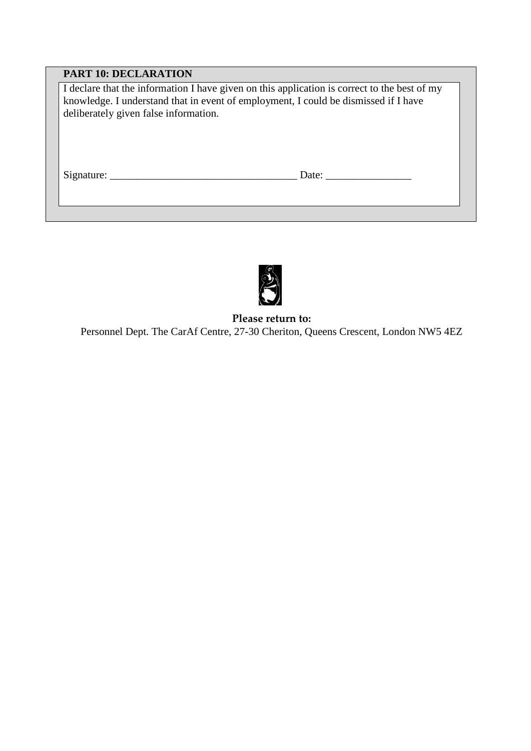### **PART 10: DECLARATION**

I declare that the information I have given on this application is correct to the best of my knowledge. I understand that in event of employment, I could be dismissed if I have deliberately given false information.

Signature: \_\_\_\_\_\_\_\_\_\_\_\_\_\_\_\_\_\_\_\_\_\_\_\_\_\_\_\_\_\_\_\_\_\_\_ Date: \_\_\_\_\_\_\_\_\_\_\_\_\_\_\_\_



**Please return to:** Personnel Dept. The CarAf Centre, 27-30 Cheriton, Queens Crescent, London NW5 4EZ